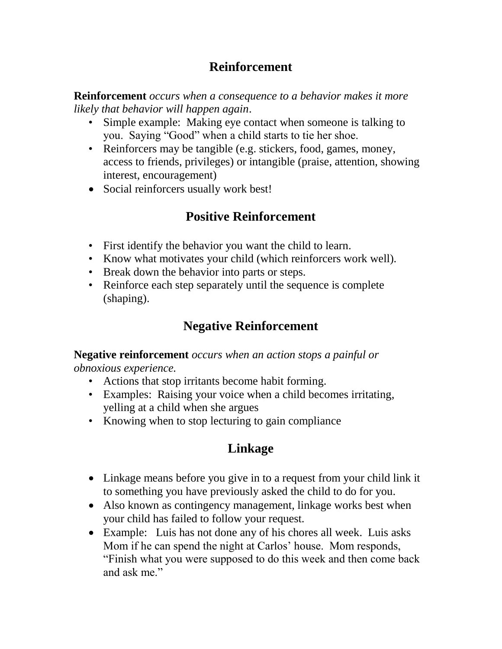## **Reinforcement**

**Reinforcement** *occurs when a consequence to a behavior makes it more likely that behavior will happen again*.

- Simple example: Making eye contact when someone is talking to you. Saying "Good" when a child starts to tie her shoe.
- Reinforcers may be tangible (e.g. stickers, food, games, money, access to friends, privileges) or intangible (praise, attention, showing interest, encouragement)
- Social reinforcers usually work best!

## **Positive Reinforcement**

- First identify the behavior you want the child to learn.
- Know what motivates your child (which reinforcers work well).
- Break down the behavior into parts or steps.
- Reinforce each step separately until the sequence is complete (shaping).

# **Negative Reinforcement**

**Negative reinforcement** *occurs when an action stops a painful or obnoxious experience.* 

- Actions that stop irritants become habit forming.
- Examples: Raising your voice when a child becomes irritating, yelling at a child when she argues
- Knowing when to stop lecturing to gain compliance

# **Linkage**

- Linkage means before you give in to a request from your child link it to something you have previously asked the child to do for you.
- Also known as contingency management, linkage works best when your child has failed to follow your request.
- Example: Luis has not done any of his chores all week. Luis asks Mom if he can spend the night at Carlos' house. Mom responds, "Finish what you were supposed to do this week and then come back and ask me."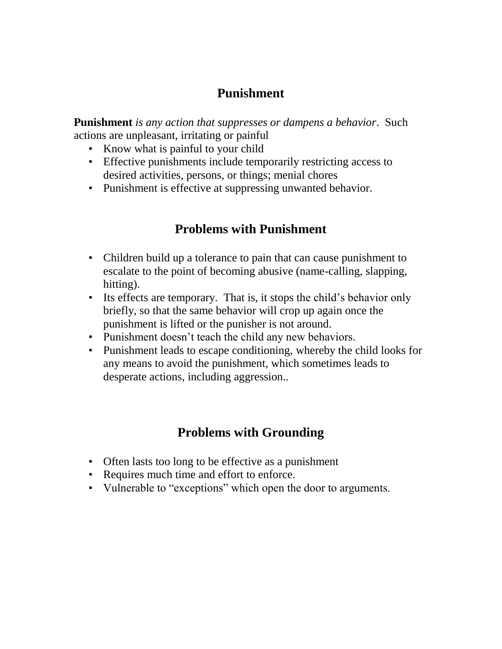### **Punishment**

**Punishment** *is any action that suppresses or dampens a behavior*. Such actions are unpleasant, irritating or painful

- Know what is painful to your child
- Effective punishments include temporarily restricting access to desired activities, persons, or things; menial chores
- Punishment is effective at suppressing unwanted behavior.

### **Problems with Punishment**

- Children build up a tolerance to pain that can cause punishment to escalate to the point of becoming abusive (name-calling, slapping, hitting).
- Its effects are temporary. That is, it stops the child's behavior only briefly, so that the same behavior will crop up again once the punishment is lifted or the punisher is not around.
- Punishment doesn't teach the child any new behaviors.
- Punishment leads to escape conditioning, whereby the child looks for any means to avoid the punishment, which sometimes leads to desperate actions, including aggression..

## **Problems with Grounding**

- Often lasts too long to be effective as a punishment
- Requires much time and effort to enforce.
- Vulnerable to "exceptions" which open the door to arguments.